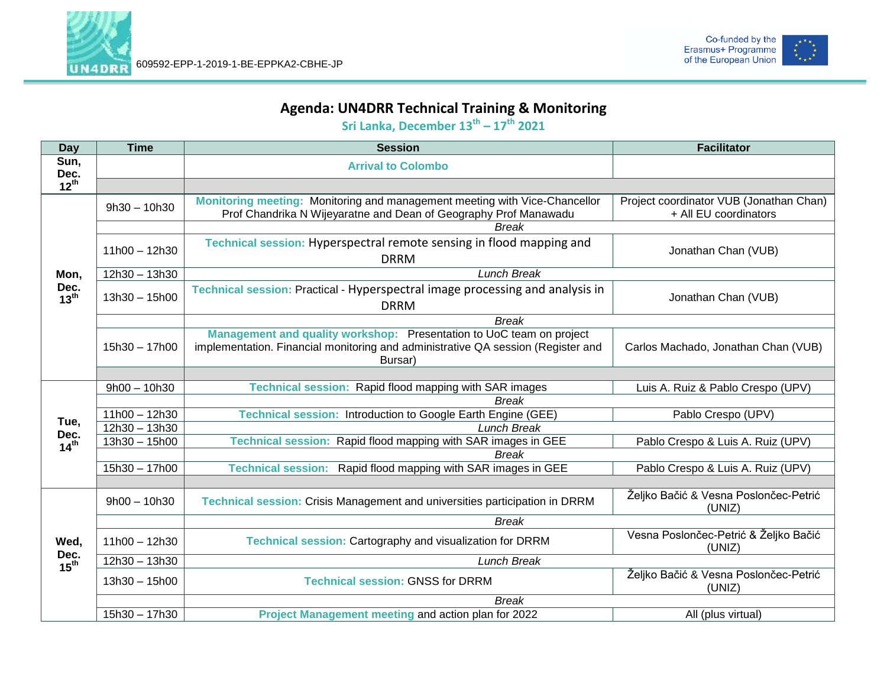



## **Agenda: UN4DRR Technical Training & Monitoring**

**Sri Lanka, December 13 th – 17 th 2021**

| <b>Day</b>                       | <b>Time</b>     | <b>Session</b>                                                                                                                                                      | <b>Facilitator</b>                                               |
|----------------------------------|-----------------|---------------------------------------------------------------------------------------------------------------------------------------------------------------------|------------------------------------------------------------------|
| Sun,<br>Dec.                     |                 | <b>Arrival to Colombo</b>                                                                                                                                           |                                                                  |
| $12^{th}$                        |                 |                                                                                                                                                                     |                                                                  |
| Mon,<br>Dec.<br>$13^{th}$        | $9h30 - 10h30$  | Monitoring meeting: Monitoring and management meeting with Vice-Chancellor<br>Prof Chandrika N Wijeyaratne and Dean of Geography Prof Manawadu                      | Project coordinator VUB (Jonathan Chan)<br>+ All EU coordinators |
|                                  |                 | <b>Break</b>                                                                                                                                                        |                                                                  |
|                                  | $11h00 - 12h30$ | Technical session: Hyperspectral remote sensing in flood mapping and<br><b>DRRM</b>                                                                                 | Jonathan Chan (VUB)                                              |
|                                  | 12h30 - 13h30   | <b>Lunch Break</b>                                                                                                                                                  |                                                                  |
|                                  | $13h30 - 15h00$ | Technical session: Practical - Hyperspectral image processing and analysis in<br><b>DRRM</b>                                                                        | Jonathan Chan (VUB)                                              |
|                                  |                 | <b>Break</b>                                                                                                                                                        |                                                                  |
|                                  | 15h30 - 17h00   | Management and quality workshop: Presentation to UoC team on project<br>implementation. Financial monitoring and administrative QA session (Register and<br>Bursar) | Carlos Machado, Jonathan Chan (VUB)                              |
|                                  |                 |                                                                                                                                                                     |                                                                  |
|                                  | $9h00 - 10h30$  | Technical session: Rapid flood mapping with SAR images                                                                                                              | Luis A. Ruiz & Pablo Crespo (UPV)                                |
|                                  |                 | <b>Break</b>                                                                                                                                                        |                                                                  |
| Tue,<br>Dec.<br>14 <sup>th</sup> | $11h00 - 12h30$ | Technical session: Introduction to Google Earth Engine (GEE)                                                                                                        | Pablo Crespo (UPV)                                               |
|                                  | $12h30 - 13h30$ | <b>Lunch Break</b>                                                                                                                                                  |                                                                  |
|                                  | $13h30 - 15h00$ | Technical session: Rapid flood mapping with SAR images in GEE                                                                                                       | Pablo Crespo & Luis A. Ruiz (UPV)                                |
|                                  |                 | <b>Break</b>                                                                                                                                                        |                                                                  |
|                                  | 15h30 - 17h00   | Technical session: Rapid flood mapping with SAR images in GEE                                                                                                       | Pablo Crespo & Luis A. Ruiz (UPV)                                |
|                                  |                 |                                                                                                                                                                     |                                                                  |
| Wed,<br>Dec.<br>15 <sup>th</sup> | $9h00 - 10h30$  | Technical session: Crisis Management and universities participation in DRRM                                                                                         | Željko Bačić & Vesna Poslončec-Petrić<br>(UNIZ)                  |
|                                  |                 | <b>Break</b>                                                                                                                                                        |                                                                  |
|                                  | $11h00 - 12h30$ | Technical session: Cartography and visualization for DRRM                                                                                                           | Vesna Poslončec-Petrić & Željko Bačić<br>(UNIZ)                  |
|                                  | 12h30 - 13h30   | <b>Lunch Break</b>                                                                                                                                                  |                                                                  |
|                                  | $13h30 - 15h00$ | <b>Technical session: GNSS for DRRM</b>                                                                                                                             | Željko Bačić & Vesna Poslončec-Petrić<br>(UNIZ)                  |
|                                  |                 | <b>Break</b>                                                                                                                                                        |                                                                  |
|                                  | 15h30 - 17h30   | Project Management meeting and action plan for 2022                                                                                                                 | All (plus virtual)                                               |